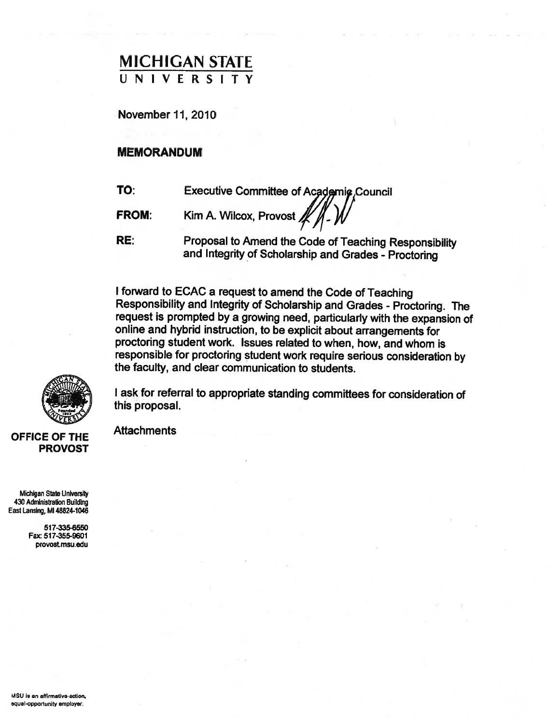# MICHIGAN STATE UNIVERSITY

November11, 2010

# MEMORANDUM

| TO: | Executive Committee of Academic Council |
|-----|-----------------------------------------|
|     |                                         |

**FROM:** Kim A. Wilcox, Provost  $\n *K* / \n *K* - *W*$ 

RE: Proposal to Amend the Code of Teaching Responsibility and Integrity of Scholarship and Grades - Proctoring

<sup>I</sup> forward to ECAC <sup>a</sup> request to amend the Code of Teaching Responsibility and Integrity of Scholarship and Grades - Proctoring. The request is prompted by <sup>a</sup> growing need, particularly with the expansion of online and hybrid instruction, to be explicit about arrangements for proctoring student work. Issues related to when, how, and whom is responsible for proctoring student work require serious consideration by the faculty, and clear communication to students.

<sup>I</sup> ask for referral to appropriate standing committees for consideration of this proposal.

**Attachments** 

Michigan State University 430 Administration Building East Lansing, Mi 48824.1046

OFFICE OF THE

PROVOST

517-335-6550 Fax: 517-355-9601 provost.msu.edu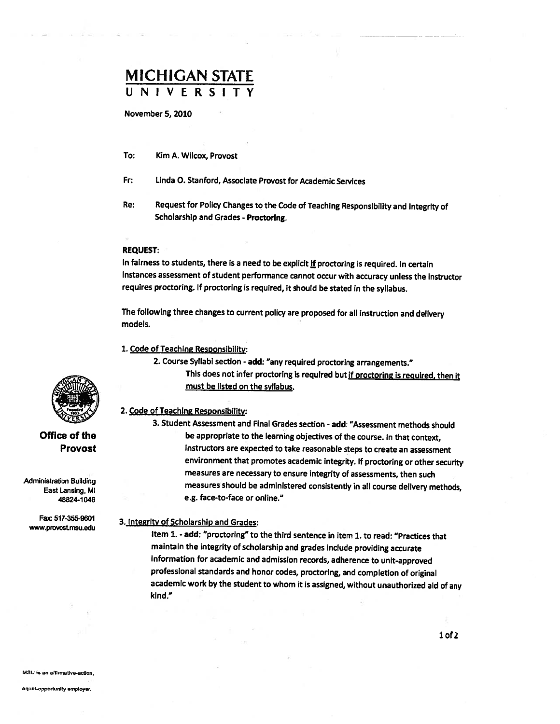# MICHIGAN STATE UNIVERSITY

November 5, 2010

- To: Kim A. Wilcox, Provost
- Fr: Linda 0. Stanford, Associate Provost for Academic Services
- Re: Request for Policy Changes to the Code of Teaching Responsibility and Integrity of Scholarship and Grades - Proctoring.

#### REQUEST:

In fairness to students, there is a need to be explicit if proctoring is required. In certain instances assessment of student performance cannot occur with accuracy unless the instructor requires proctoring. If proctoring is required, it should be stated in the syllabus.

The following three changes to current policy are proposed for all instruction and delivery models.

#### 1. Code of Teaching Responsibility:

2. Course Syllabi section - add: "any required proctoring arrangements." This does not infer proctoring is required but if proctoring is required, then it must be listed on the syllabus.

2. Code of Teaching Responsibility:

3. Student Assessment and Final Grades section - add: "Assessment methods should be appropriate to the learning objectives of the course. In that context, instructors are expected to take reasonable steps to create an assessment environment that promotes academic integrity. If proctoring or other security measures are necessary to ensure integrity of assessments, then such measures should be administered consistently in all course delivery methods, e.g. face-to-face or online."

rax: 517-355-9601 3. Integrity of Scholarship and Grades:<br>Item 1. - add: "proctoring" to the third sentence in item 1. to read: "Practices that maintain the integrity of scholarship and grades include providing accurate information for academic and admission records, adherence to unit-approved professional standards and honor codes, proctoring, and completion of original academic work by the student to whom it is assigned, without unauthorized aid of any kind."



## Office of the Provost

Administration Building East Lansing. Ml 48824.1046

Fax: 517-355-9601

#### 1 of 2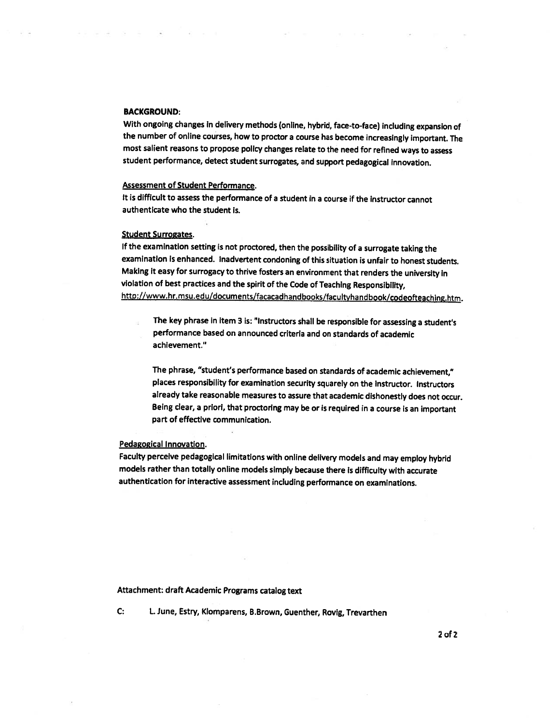### BACKGROUND:

 $\mathcal{L}_{\mathcal{A}}$ 

With ongoing changes in delivery methods (online, hybrid, face-to-face) including expansion of the number of online courses, how to proctor <sup>a</sup> course has become increasingly important. The most salient reasons to propose policy changes relate to the need for refined ways to assess student performance, detect student surrogates, and support pedagogical innovation.

#### Assessment of Student Performance.

It is difficult to assess the performance of <sup>a</sup> student in <sup>a</sup> course if the instructor cannot authenticate who the student is.

#### Student Surrogates.

If the examination setting is not proctored, then the possibility of <sup>a</sup> surrogate taking the examination is enhanced. Inadvertent condoning of this situation is unfair to honest students. Making it easy for surrogacy to thrive fosters an environment that renders the university in violation of best practices and the spirit of the Code of Teaching Responsibility, http://www.hr.msu.edu/documents/facacadhandbooks/facultyhandbook/codeofteaching.htm.

The key phrase in item 3 is: "Instructors shall be responsible for assessing a student's performance based on announced criteria and on standards of academic achievement."

The <sup>p</sup>hrase, "student's performance based on standards of academic achievement," <sup>p</sup>laces responsibility for examination security squarely on the instructor. Instructors already take reasonable measures to assure that academic dishonestly does not occur. Being clear, <sup>a</sup> priori, that proctoring may be or is required in <sup>a</sup> course is an important part of effective communication.

#### Pedagogical Innovation.

Faculty perceive pedagogical limitations with online delivery models and may employ hybrid models rather than totally online models simply because there is difficulty with accurate authentication for interactive assessment including performance on examinations.

Attachment: draft Academic Programs catalog text

C: L. June, Estry, Klomparens, B.Brown, Guenther, Rovig, Trevarthen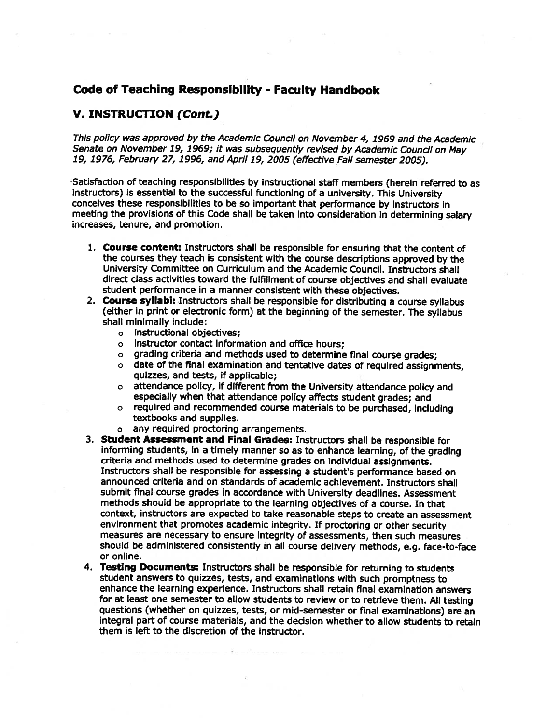# Code of Teaching Responsibility - Faculty Handbook

# V.. INSTRUCTION (Cont.)

This policy was approved by the Academic Council on November 4, 1969 and the Academic Senate on November 19, 1969; it was subsequently revised by Academic Council on May 19, 1976, February 27, 1996, and Apr11 19, 2005 (effective Fall semester 2005).

-Satisfaction of teaching responsibilities by instructional staff members (herein referred to as instructors) is essential to the successful functioning of <sup>a</sup> university. This University conceives these responsibilities to be so important that performance by instructors in meeting the provisions of this Code shall be taken into consideration in determining salary increases, tenure, and promotion.

- 1. Course content: Instructors shall be responsible for ensuring that the content of the courses they teach is consistent with the course descriptions approve<sup>d</sup> by the University Committee on Curriculum and the Academic Council. Instructors shalt direct class activities toward the fulfillment of course objectives and shall evaluate student performance in <sup>a</sup> manner consistent with these objectives.
- 2. Course syllabi: Instructors shall be responsible for distributing <sup>a</sup> course syllabus (either in print or electronic form) at the beginning of the semester. The syllabus shall minimally include:
	- <sup>o</sup> instructional objectives;
	- <sup>o</sup> instructor contact information and office hours;
	- <sup>o</sup> grading criteria and methods used to determine final course grades;
	- <sup>o</sup> date of the final examination and tentative dates of required assignments, quizzes, and tests, if applicable;
	- <sup>o</sup> attendance policy, if different from the University attendance policy and especially when that attendance policy affects student grades; and
	- <sup>o</sup> required and recommended course materials to be purchased, including textbooks and supplies.
	- <sup>o</sup> any required proctoring arrangements.
- 3. Student Assessment and Final Grades: Instructors shall be responsible for informing students, in <sup>a</sup> timely manner so as to enhance learning, of the grading criteria and methods used to determine grades on individual assignments. Instructors shall be responsible for assessing <sup>a</sup> student's performance based on announced criteria and on standards of academic achievement. Instructors shall submit final course grades in accordance with University deadlines. Assessment methods should be appropriate to the learning objectives of <sup>a</sup> course. In that context, instructors are expected to take reasonable steps to create an assessment environment that promotes academic integrity. If proctoring or other security measures are necessary to ensure integrity of assessments, then such measures should be administered consistently in all course delivery methods, e.g. face-to-face or online.
- 4. Testing Documents: Instructors shall be responsible for returning to students student answers to quizzes, tests, and examinations with such promptness to enhance the learning experience. Instructors shall retain final examination answers for at least one semester to allow students to review or to retrieve them. All testing questions (whether on quizzes, tests, or mid-semester or final examinations) are an integral part of course materials, and the decision whether to allow students to retain them is left to the discretion of the instructor.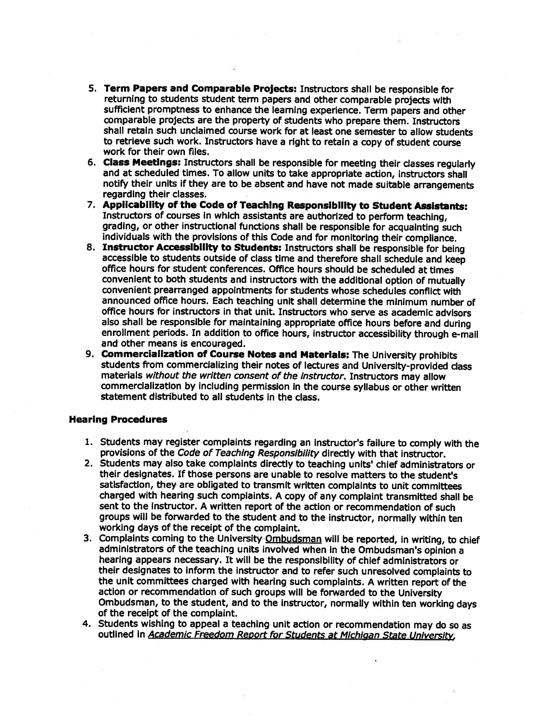- 5, Term Papers and Comparable Projects: Instructors shall be responsible for returning to students student term papers and other comparable projects with sufficient promptness to enhance the learning experience, Term papers and other comparable projects are the property of students who prepare them. Instructors shall retain such unclaimed course work for at least one semester to allow students to retrieve such work. Instructors have <sup>a</sup> right to retain <sup>a</sup> copy of student course work for their own files.
- 6. Class Meetings: Instructors shall be responsible for meeting their dasses regularly and at scheduled times. To allow units to take appropriate action, instructors shall notify their units if they are to be absent and have not made suitable arrangements regarding their classes.
- 7. Applicability of the Code of Teaching Responsibility to Student Assistants: Instructors of courses in which assistants are authorized to perform teaching, grading, or other instructional functions shall be responsible for acquainting such individuals with the provisions of this Code and for monitoring their compliance.<br>8. **Instructor Accessibility to Students:** Instructors shall be responsible for being
- accessible to students outside of class time and therefore shall schedule and keep office hours for student conferences. Office hours should be scheduled at times convenient to both students and instructors with the additional option of mutually convenient prearranged appointments for students whose schedules conflict with announced office hours. Each teaching unit shall determine the minimum number of office hours for instructors in that unit. Instructors who serve as academic advisors also shall be responsible for maintaining appropriate office hours before and during enrollment periods. In addition to office hours, instructor accessibility through e-mail and other means is encouraged.
- 9. Commercialization of Course Notes and Materials: The University prohibits students from commercializing their notes of lectures and University-provided class materials without the written consent of the instructor. Instructors may allow commercialization by including permission in the course syllabus or other written statement distributed to all students in the class.

## Hearing Procedures

- 1. Students may register complaints regarding an instructor's failure to comply with the provisions of the Code of Teaching Responsibility directly with that instructor.
- 2. Students may also take complaints directly to teaching units' chief administrators or their designates. If those persons are unable to resolve matters to the student's satisfaction, they are obligated to transmit written complaints to unit committees charged with hearing such complaints. A copy of any complaint transmitted shall be sent to the instructor. A written repor<sup>t</sup> of the action or recommendation of such groups will be forwarded to the student and to the instructor, normally within ten working days of the receipt of the complaint.
- 3. Complaints coming to the University Ombudsman will be reported, in writing, to chief administrators of the teaching units involved when in the Ombudsman's opinion <sup>a</sup> hearing appears necessary. It will be the responsibility of chief administrators or their designates to inform the instructor and to refer such unresolved complaints to the unit committees charged with hearing such complaints. A written repor<sup>t</sup> of the action or recommendation of such groups will be forwarded to the University Ombudsman, to the student, and to the instructor, normally within ten working days of the receipt of the complaint.
- 4. Students wishing to appea<sup>l</sup> <sup>a</sup> teaching unit action or recommendation may do so as outlined in Academic Freedom Report for Students at Michigan State University,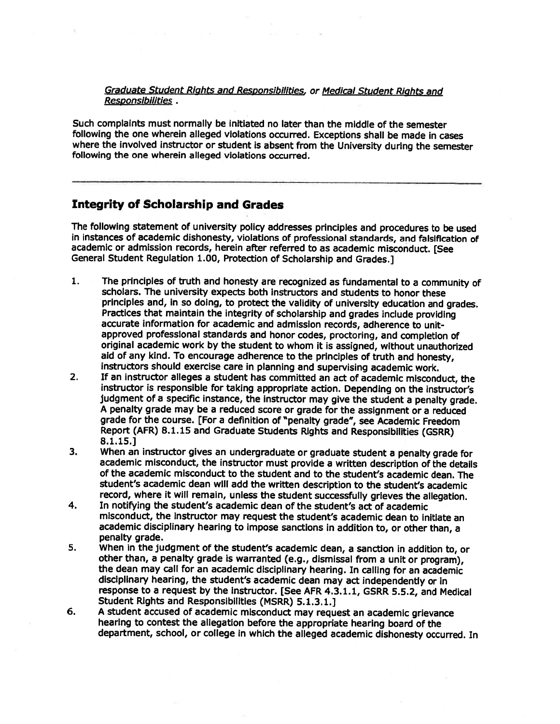Graduate Student Rights and Responsibilities, or Medical Student Rights and Responsibilities.

Such complaints must normally be initiated no later than the middle of the semester following the one wherein alleged violations occurred. Exceptions shall be made in cases where the involved instructor or student is absent from the University during the semester following the one wherein alleged violations occurred.

# Integrity of Scholarship and Grades

The following statement of university policy addresses principles and procedures to be used in instances of academic dishonesty, violations of professional standards, and falsification of academic or admission records, herein after referred to as academic misconduct. [See General Student Regulation 1.00, Protection of Scholarship and Grades.)

- 1. The principles of truth and honesty are recognized as fundamental to <sup>a</sup> community of scholars. The university expects both instructors and students to honor these principles and, in so doing, to protect the validity of university education and grades. Practices that maintain the integrity of scholarship and grades include providing accurate information for academic and admission records, adherence to unitapprove<sup>d</sup> professional standards and honor codes, proctoring, and completion of original academic work by the student to whom it is assigned, without unauthorized aid of any kind. To encourage adherence to the principles of truth and honesty, instructors should exercise care in <sup>p</sup>lanning and supervising academic work.
- 2. If an instructor alleges <sup>a</sup> student has committed an act of academic misconduct, the instructor is responsible for taking appropriate action. Depending on the instructor's judgment of <sup>a</sup> specific instance, the instructor may <sup>g</sup>ive the student <sup>a</sup> penalty grade. <sup>A</sup> penalty grade may be <sup>a</sup> reduced score or grade for the assignment or <sup>a</sup> reduced grade for the course. [For <sup>a</sup> definition of "penalty grade", see Academic Freedom Report (AFR) 8.1.15 and Graduate Students Rights and Responsibilities (GSRR) 8.1.15.)
- 3. When an instructor <sup>g</sup>ives an undergraduate or graduate student <sup>a</sup> penalty grade for academic misconduct, the instructor must provide <sup>a</sup> written description of the details of the academic misconduct to the student and to the student's academic dean. The student's academic dean will add the written description to the student's academic record, where it will remain, unless the student successfully grieves the allegation.
- 4. In notifying the student's academic dean of the student's act of academic misconduct, the instructor may reques<sup>t</sup> the student's academic dean to initiate an academic disciplinary hearing to impose sanctions in addition to, or other than, <sup>a</sup> penalty grade.
- 5. When in the judgment of the student's academic dean, <sup>a</sup> sanction in addition to, or other than, <sup>a</sup> penalty grade is warranted (e.g., dismissal from <sup>a</sup> unit or program), the dean may call for an academic disciplinary hearing. In calling for an academic disciplinary hearing, the student's academic dean may act independently or in response to <sup>a</sup> reques<sup>t</sup> by the instructor. [See AFR 4.3.1.1, GSRR 5.5.2, and Medical Student Rights and Responsibilities (MSRR) 5.1.3.1.)
- 6. <sup>A</sup> student accused of academic misconduct may reques<sup>t</sup> an academic grievance hearing to contest the allegation before the appropriate hearing board of the department, school, or college in which the alleged academic dishonesty occurred. In